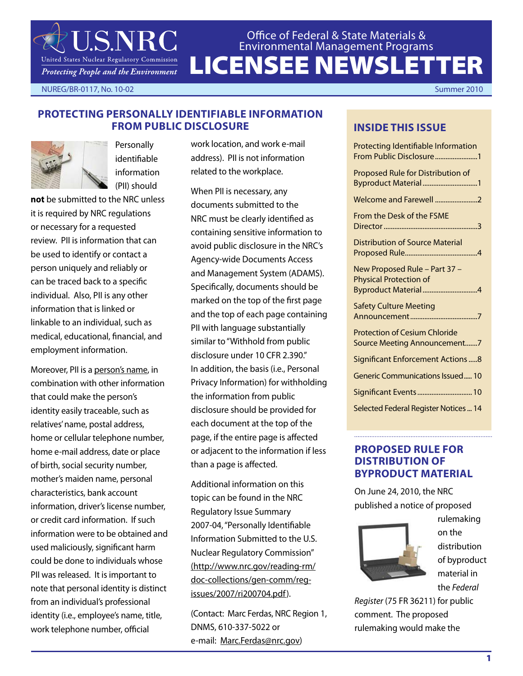LICENSEE NEWSLETTER Office of Federal & State Materials & Environmental Management Programs

NUREG/BR-0117, No. 10-02 Summer 2010

## **Protecting Personally Identifiable Information from Public Disclosure**



**Personally** identifiable information (PII) should

**JSNRC** 

United States Nuclear Regulatory Commission Protecting People and the Environment

**not** be submitted to the NRC unless it is required by NRC regulations or necessary for a requested review. PII is information that can be used to identify or contact a person uniquely and reliably or can be traced back to a specific individual. Also, PII is any other information that is linked or linkable to an individual, such as medical, educational, financial, and employment information.

Moreover, PII is a person's name, in combination with other information that could make the person's identity easily traceable, such as relatives' name, postal address, home or cellular telephone number, home e-mail address, date or place of birth, social security number, mother's maiden name, personal characteristics, bank account information, driver's license number, or credit card information. If such information were to be obtained and used maliciously, significant harm could be done to individuals whose PII was released. It is important to note that personal identity is distinct from an individual's professional identity (i.e., employee's name, title, work telephone number, official

work location, and work e-mail address). PII is not information related to the workplace.

When PII is necessary, any documents submitted to the NRC must be clearly identified as containing sensitive information to avoid public disclosure in the NRC's Agency-wide Documents Access and Management System (ADAMS). Specifically, documents should be marked on the top of the first page and the top of each page containing PII with language substantially similar to "Withhold from public disclosure under 10 CFR 2.390." In addition, the basis (i.e., Personal Privacy Information) for withholding the information from public disclosure should be provided for each document at the top of the page, if the entire page is affected or adjacent to the information if less than a page is affected.

Additional information on this topic can be found in the NRC Regulatory Issue Summary 2007-04, "Personally Identifiable Information Submitted to the U.S. Nuclear Regulatory Commission" (http://www.nrc.gov/reading-rm/ doc-collections/gen-comm/regissues/2007/ri200704.pdf).

(Contact: Marc Ferdas, NRC Region 1, DNMS, 610-337-5022 or e-mail: Marc.Ferdas@nrc.gov)

#### **INSIDE THIS ISSUE**

| Protecting Identifiable Information<br>From Public Disclosure1                        |
|---------------------------------------------------------------------------------------|
| Proposed Rule for Distribution of<br>Byproduct Material 1                             |
| Welcome and Farewell 2                                                                |
| From the Desk of the FSME                                                             |
| <b>Distribution of Source Material</b>                                                |
| New Proposed Rule - Part 37 -<br><b>Physical Protection of</b><br>Byproduct Material4 |
| <b>Safety Culture Meeting</b>                                                         |
| <b>Protection of Cesium Chloride</b><br>Source Meeting Announcement7                  |
| <b>Significant Enforcement Actions8</b>                                               |
| <b>Generic Communications Issued 10</b>                                               |
| Significant Events 10                                                                 |
| Selected Federal Register Notices  14                                                 |

#### **PROPOSED RULE FOR DISTRIBUTION OF BYPRODUCT MATERIAL**

On June 24, 2010, the NRC published a notice of proposed



rulemaking on the distribution of byproduct material in the *Federal* 

*Register* (75 FR 36211) for public comment. The proposed rulemaking would make the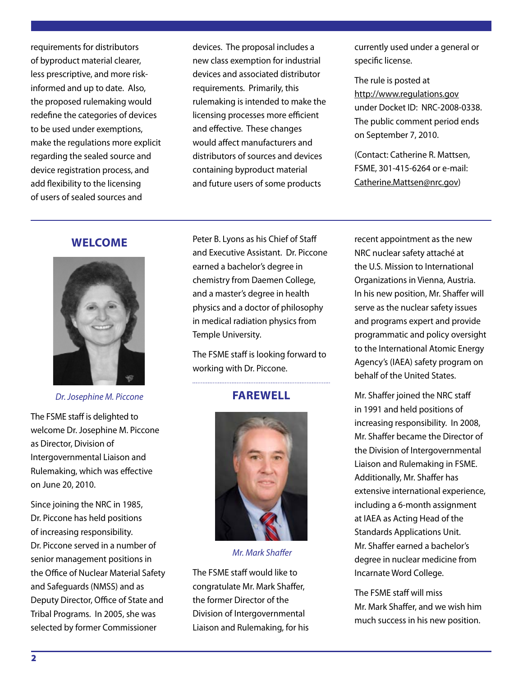requirements for distributors of byproduct material clearer, less prescriptive, and more riskinformed and up to date. Also, the proposed rulemaking would redefine the categories of devices to be used under exemptions, make the regulations more explicit regarding the sealed source and device registration process, and add flexibility to the licensing of users of sealed sources and

devices. The proposal includes a new class exemption for industrial devices and associated distributor requirements. Primarily, this rulemaking is intended to make the licensing processes more efficient and effective. These changes would affect manufacturers and distributors of sources and devices containing byproduct material and future users of some products

currently used under a general or specific license.

The rule is posted at http://www.regulations.gov under Docket ID: NRC-2008-0338. The public comment period ends on September 7, 2010.

(Contact: Catherine R. Mattsen, FSME, 301-415-6264 or e-mail: Catherine.Mattsen@nrc.gov)

#### **WELCOME**



*Dr. Josephine M. Piccone*

The FSME staff is delighted to welcome Dr. Josephine M. Piccone as Director, Division of Intergovernmental Liaison and Rulemaking, which was effective on June 20, 2010.

Since joining the NRC in 1985, Dr. Piccone has held positions of increasing responsibility. Dr. Piccone served in a number of senior management positions in the Office of Nuclear Material Safety and Safeguards (NMSS) and as Deputy Director, Office of State and Tribal Programs. In 2005, she was selected by former Commissioner

Peter B. Lyons as his Chief of Staff and Executive Assistant. Dr. Piccone earned a bachelor's degree in chemistry from Daemen College, and a master's degree in health physics and a doctor of philosophy in medical radiation physics from Temple University.

The FSME staff is looking forward to working with Dr. Piccone.

## **FAREWELL**



 *Mr. Mark Shaffer*

The FSME staff would like to congratulate Mr. Mark Shaffer, the former Director of the Division of Intergovernmental Liaison and Rulemaking, for his recent appointment as the new NRC nuclear safety attaché at the U.S. Mission to International Organizations in Vienna, Austria. In his new position, Mr. Shaffer will serve as the nuclear safety issues and programs expert and provide programmatic and policy oversight to the International Atomic Energy Agency's (IAEA) safety program on behalf of the United States.

Mr. Shaffer joined the NRC staff in 1991 and held positions of increasing responsibility. In 2008, Mr. Shaffer became the Director of the Division of Intergovernmental Liaison and Rulemaking in FSME. Additionally, Mr. Shaffer has extensive international experience, including a 6-month assignment at IAEA as Acting Head of the Standards Applications Unit. Mr. Shaffer earned a bachelor's degree in nuclear medicine from Incarnate Word College.

The FSME staff will miss Mr. Mark Shaffer, and we wish him much success in his new position.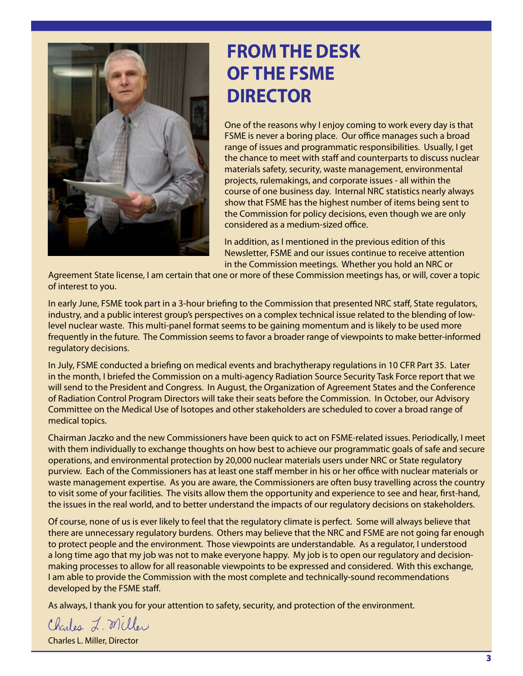

# **from the desk of the fsme DIRECTOR**

One of the reasons why I enjoy coming to work every day is that FSME is never a boring place. Our office manages such a broad range of issues and programmatic responsibilities. Usually, I get the chance to meet with staff and counterparts to discuss nuclear materials safety, security, waste management, environmental projects, rulemakings, and corporate issues - all within the course of one business day. Internal NRC statistics nearly always show that FSME has the highest number of items being sent to the Commission for policy decisions, even though we are only considered as a medium-sized office.

In addition, as I mentioned in the previous edition of this Newsletter, FSME and our issues continue to receive attention in the Commission meetings. Whether you hold an NRC or

Agreement State license, I am certain that one or more of these Commission meetings has, or will, cover a topic of interest to you.

In early June, FSME took part in a 3-hour briefing to the Commission that presented NRC staff, State regulators, industry, and a public interest group's perspectives on a complex technical issue related to the blending of lowlevel nuclear waste. This multi-panel format seems to be gaining momentum and is likely to be used more frequently in the future. The Commission seems to favor a broader range of viewpoints to make better-informed regulatory decisions.

In July, FSME conducted a briefing on medical events and brachytherapy regulations in 10 CFR Part 35. Later in the month, I briefed the Commission on a multi-agency Radiation Source Security Task Force report that we will send to the President and Congress. In August, the Organization of Agreement States and the Conference of Radiation Control Program Directors will take their seats before the Commission. In October, our Advisory Committee on the Medical Use of Isotopes and other stakeholders are scheduled to cover a broad range of medical topics.

Chairman Jaczko and the new Commissioners have been quick to act on FSME-related issues. Periodically, I meet with them individually to exchange thoughts on how best to achieve our programmatic goals of safe and secure operations, and environmental protection by 20,000 nuclear materials users under NRC or State regulatory purview. Each of the Commissioners has at least one staff member in his or her office with nuclear materials or waste management expertise. As you are aware, the Commissioners are often busy travelling across the country to visit some of your facilities. The visits allow them the opportunity and experience to see and hear, first-hand, the issues in the real world, and to better understand the impacts of our regulatory decisions on stakeholders.

Of course, none of us is ever likely to feel that the regulatory climate is perfect. Some will always believe that there are unnecessary regulatory burdens. Others may believe that the NRC and FSME are not going far enough to protect people and the environment. Those viewpoints are understandable. As a regulator, I understood a long time ago that my job was not to make everyone happy. My job is to open our regulatory and decisionmaking processes to allow for all reasonable viewpoints to be expressed and considered. With this exchange, I am able to provide the Commission with the most complete and technically-sound recommendations developed by the FSME staff.

As always, I thank you for your attention to safety, security, and protection of the environment.

Charles L. Miller

Charles L. Miller, Director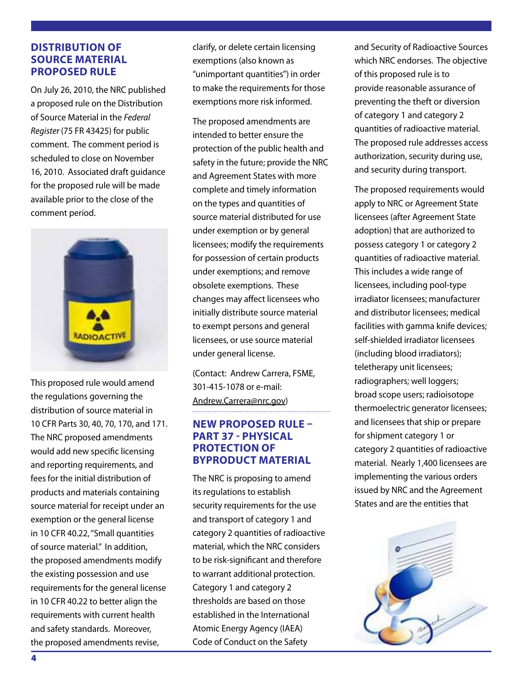#### **Distribution of Source Material Proposed Rule**

On July 26, 2010, the NRC published a proposed rule on the Distribution of Source Material in the *Federal Register* (75 FR 43425) for public comment. The comment period is scheduled to close on November 16, 2010. Associated draft guidance for the proposed rule will be made available prior to the close of the comment period.



This proposed rule would amend the regulations governing the distribution of source material in 10 CFR Parts 30, 40, 70, 170, and 171. The NRC proposed amendments would add new specific licensing and reporting requirements, and fees for the initial distribution of products and materials containing source material for receipt under an exemption or the general license in 10 CFR 40.22, "Small quantities of source material." In addition, the proposed amendments modify the existing possession and use requirements for the general license in 10 CFR 40.22 to better align the requirements with current health and safety standards. Moreover, the proposed amendments revise,

clarify, or delete certain licensing exemptions (also known as "unimportant quantities") in order to make the requirements for those exemptions more risk informed.

The proposed amendments are intended to better ensure the protection of the public health and safety in the future; provide the NRC and Agreement States with more complete and timely information on the types and quantities of source material distributed for use under exemption or by general licensees; modify the requirements for possession of certain products under exemptions; and remove obsolete exemptions. These changes may affect licensees who initially distribute source material to exempt persons and general licensees, or use source material under general license.

(Contact: Andrew Carrera, FSME, 301-415-1078 or e-mail: Andrew.Carrera@nrc.gov) 

#### **New Proposed Rule – Part 37 - Physical Protection of Byproduct Material**

The NRC is proposing to amend its regulations to establish security requirements for the use and transport of category 1 and category 2 quantities of radioactive material, which the NRC considers to be risk-significant and therefore to warrant additional protection. Category 1 and category 2 thresholds are based on those established in the International Atomic Energy Agency (IAEA) Code of Conduct on the Safety

and Security of Radioactive Sources which NRC endorses. The objective of this proposed rule is to provide reasonable assurance of preventing the theft or diversion of category 1 and category 2 quantities of radioactive material. The proposed rule addresses access authorization, security during use, and security during transport.

The proposed requirements would apply to NRC or Agreement State licensees (after Agreement State adoption) that are authorized to possess category 1 or category 2 quantities of radioactive material. This includes a wide range of licensees, including pool-type irradiator licensees; manufacturer and distributor licensees; medical facilities with gamma knife devices; self-shielded irradiator licensees (including blood irradiators); teletherapy unit licensees; radiographers; well loggers; broad scope users; radioisotope thermoelectric generator licensees; and licensees that ship or prepare for shipment category 1 or category 2 quantities of radioactive material. Nearly 1,400 licensees are implementing the various orders issued by NRC and the Agreement States and are the entities that

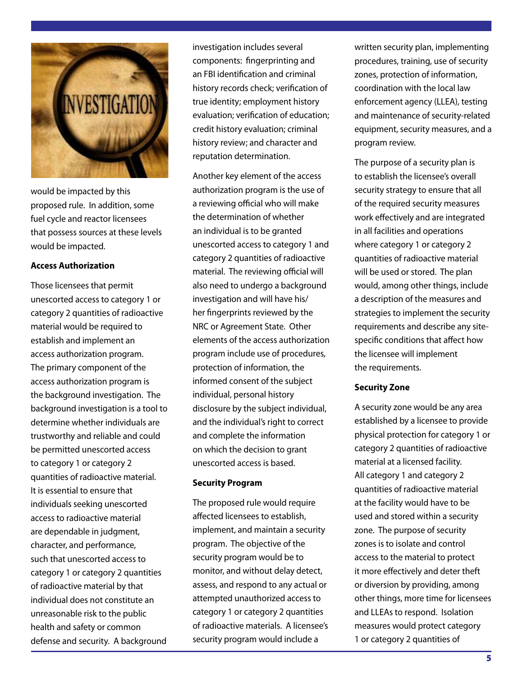

would be impacted by this proposed rule. In addition, some fuel cycle and reactor licensees that possess sources at these levels would be impacted.

#### **Access Authorization**

Those licensees that permit unescorted access to category 1 or category 2 quantities of radioactive material would be required to establish and implement an access authorization program. The primary component of the access authorization program is the background investigation. The background investigation is a tool to determine whether individuals are trustworthy and reliable and could be permitted unescorted access to category 1 or category 2 quantities of radioactive material. It is essential to ensure that individuals seeking unescorted access to radioactive material are dependable in judgment, character, and performance, such that unescorted access to category 1 or category 2 quantities of radioactive material by that individual does not constitute an unreasonable risk to the public health and safety or common defense and security. A background

investigation includes several components: fingerprinting and an FBI identification and criminal history records check; verification of true identity; employment history evaluation; verification of education; credit history evaluation; criminal history review; and character and reputation determination.

Another key element of the access authorization program is the use of a reviewing official who will make the determination of whether an individual is to be granted unescorted access to category 1 and category 2 quantities of radioactive material. The reviewing official will also need to undergo a background investigation and will have his/ her fingerprints reviewed by the NRC or Agreement State. Other elements of the access authorization program include use of procedures, protection of information, the informed consent of the subject individual, personal history disclosure by the subject individual, and the individual's right to correct and complete the information on which the decision to grant unescorted access is based.

#### **Security Program**

The proposed rule would require affected licensees to establish, implement, and maintain a security program. The objective of the security program would be to monitor, and without delay detect, assess, and respond to any actual or attempted unauthorized access to category 1 or category 2 quantities of radioactive materials. A licensee's security program would include a

written security plan, implementing procedures, training, use of security zones, protection of information, coordination with the local law enforcement agency (LLEA), testing and maintenance of security-related equipment, security measures, and a program review.

The purpose of a security plan is to establish the licensee's overall security strategy to ensure that all of the required security measures work effectively and are integrated in all facilities and operations where category 1 or category 2 quantities of radioactive material will be used or stored. The plan would, among other things, include a description of the measures and strategies to implement the security requirements and describe any sitespecific conditions that affect how the licensee will implement the requirements.

#### **Security Zone**

A security zone would be any area established by a licensee to provide physical protection for category 1 or category 2 quantities of radioactive material at a licensed facility. All category 1 and category 2 quantities of radioactive material at the facility would have to be used and stored within a security zone. The purpose of security zones is to isolate and control access to the material to protect it more effectively and deter theft or diversion by providing, among other things, more time for licensees and LLEAs to respond. Isolation measures would protect category 1 or category 2 quantities of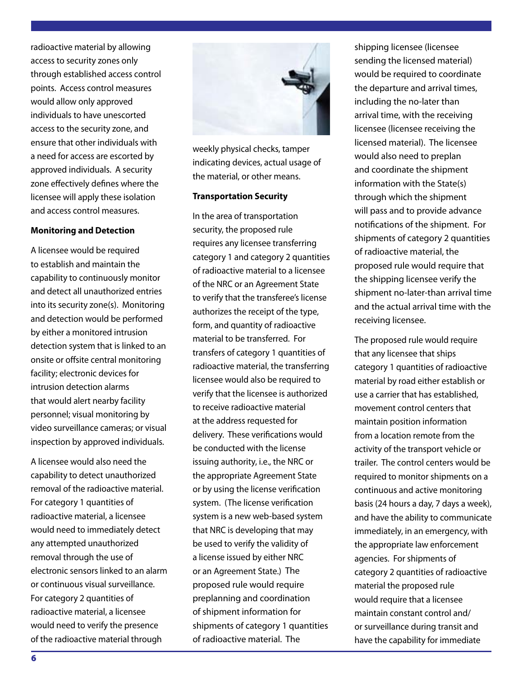radioactive material by allowing access to security zones only through established access control points. Access control measures would allow only approved individuals to have unescorted access to the security zone, and ensure that other individuals with a need for access are escorted by approved individuals. A security zone effectively defines where the licensee will apply these isolation and access control measures.

#### **Monitoring and Detection**

A licensee would be required to establish and maintain the capability to continuously monitor and detect all unauthorized entries into its security zone(s). Monitoring and detection would be performed by either a monitored intrusion detection system that is linked to an onsite or offsite central monitoring facility; electronic devices for intrusion detection alarms that would alert nearby facility personnel; visual monitoring by video surveillance cameras; or visual inspection by approved individuals.

A licensee would also need the capability to detect unauthorized removal of the radioactive material. For category 1 quantities of radioactive material, a licensee would need to immediately detect any attempted unauthorized removal through the use of electronic sensors linked to an alarm or continuous visual surveillance. For category 2 quantities of radioactive material, a licensee would need to verify the presence of the radioactive material through



weekly physical checks, tamper indicating devices, actual usage of the material, or other means.

#### **Transportation Security**

In the area of transportation security, the proposed rule requires any licensee transferring category 1 and category 2 quantities of radioactive material to a licensee of the NRC or an Agreement State to verify that the transferee's license authorizes the receipt of the type, form, and quantity of radioactive material to be transferred. For transfers of category 1 quantities of radioactive material, the transferring licensee would also be required to verify that the licensee is authorized to receive radioactive material at the address requested for delivery. These verifications would be conducted with the license issuing authority, i.e., the NRC or the appropriate Agreement State or by using the license verification system. (The license verification system is a new web-based system that NRC is developing that may be used to verify the validity of a license issued by either NRC or an Agreement State.) The proposed rule would require preplanning and coordination of shipment information for shipments of category 1 quantities of radioactive material. The

shipping licensee (licensee sending the licensed material) would be required to coordinate the departure and arrival times, including the no-later than arrival time, with the receiving licensee (licensee receiving the licensed material). The licensee would also need to preplan and coordinate the shipment information with the State(s) through which the shipment will pass and to provide advance notifications of the shipment. For shipments of category 2 quantities of radioactive material, the proposed rule would require that the shipping licensee verify the shipment no-later-than arrival time and the actual arrival time with the receiving licensee.

The proposed rule would require that any licensee that ships category 1 quantities of radioactive material by road either establish or use a carrier that has established, movement control centers that maintain position information from a location remote from the activity of the transport vehicle or trailer. The control centers would be required to monitor shipments on a continuous and active monitoring basis (24 hours a day, 7 days a week), and have the ability to communicate immediately, in an emergency, with the appropriate law enforcement agencies. For shipments of category 2 quantities of radioactive material the proposed rule would require that a licensee maintain constant control and/ or surveillance during transit and have the capability for immediate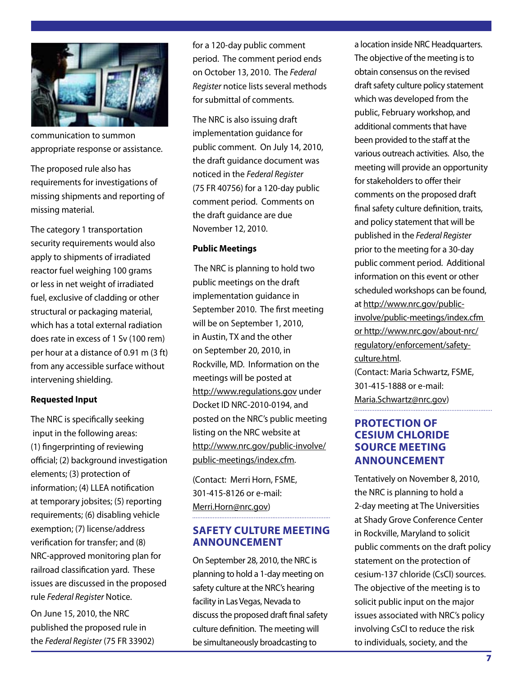

communication to summon appropriate response or assistance.

The proposed rule also has requirements for investigations of missing shipments and reporting of missing material.

The category 1 transportation security requirements would also apply to shipments of irradiated reactor fuel weighing 100 grams or less in net weight of irradiated fuel, exclusive of cladding or other structural or packaging material, which has a total external radiation does rate in excess of 1 Sv (100 rem) per hour at a distance of 0.91 m (3 ft) from any accessible surface without intervening shielding.

#### **Requested Input**

The NRC is specifically seeking input in the following areas: (1) fingerprinting of reviewing official; (2) background investigation elements; (3) protection of information; (4) LLEA notification at temporary jobsites; (5) reporting requirements; (6) disabling vehicle exemption; (7) license/address verification for transfer; and (8) NRC-approved monitoring plan for railroad classification yard. These issues are discussed in the proposed rule *Federal Register* Notice.

On June 15, 2010, the NRC published the proposed rule in the *Federal Register* (75 FR 33902)

for a 120-day public comment period. The comment period ends on October 13, 2010. The *Federal Register* notice lists several methods for submittal of comments.

The NRC is also issuing draft implementation guidance for public comment. On July 14, 2010, the draft guidance document was noticed in the *Federal Register* (75 FR 40756) for a 120-day public comment period. Comments on the draft guidance are due November 12, 2010.

#### **Public Meetings**

 The NRC is planning to hold two public meetings on the draft implementation guidance in September 2010. The first meeting will be on September 1, 2010, in Austin, TX and the other on September 20, 2010, in Rockville, MD. Information on the meetings will be posted at http://www.regulations.gov under Docket ID NRC-2010-0194, and posted on the NRC's public meeting listing on the NRC website at http://www.nrc.gov/public-involve/ public-meetings/index.cfm.

(Contact: Merri Horn, FSME, 301-415-8126 or e-mail: Merri.Horn@nrc.gov)

#### **SAFETY CULTURE Meeting Announcement**

On September 28, 2010, the NRC is planning to hold a 1-day meeting on safety culture at the NRC's hearing facility in Las Vegas, Nevada to discuss the proposed draft final safety culture definition. The meeting will be simultaneously broadcasting to

a location inside NRC Headquarters. The objective of the meeting is to obtain consensus on the revised draft safety culture policy statement which was developed from the public, February workshop, and additional comments that have been provided to the staff at the various outreach activities. Also, the meeting will provide an opportunity for stakeholders to offer their comments on the proposed draft final safety culture definition, traits, and policy statement that will be published in the *Federal Register* prior to the meeting for a 30-day public comment period. Additional information on this event or other scheduled workshops can be found, at http://www.nrc.gov/publicinvolve/public-meetings/index.cfm or http://www.nrc.gov/about-nrc/ regulatory/enforcement/safetyculture.html. (Contact: Maria Schwartz, FSME, 301-415-1888 or e-mail: Maria.Schwartz@nrc.gov)

#### **Protection of Cesium Chloride Source Meeting Announcement**

Tentatively on November 8, 2010, the NRC is planning to hold a 2-day meeting at The Universities at Shady Grove Conference Center in Rockville, Maryland to solicit public comments on the draft policy statement on the protection of cesium-137 chloride (CsCl) sources. The objective of the meeting is to solicit public input on the major issues associated with NRC's policy involving CsCl to reduce the risk to individuals, society, and the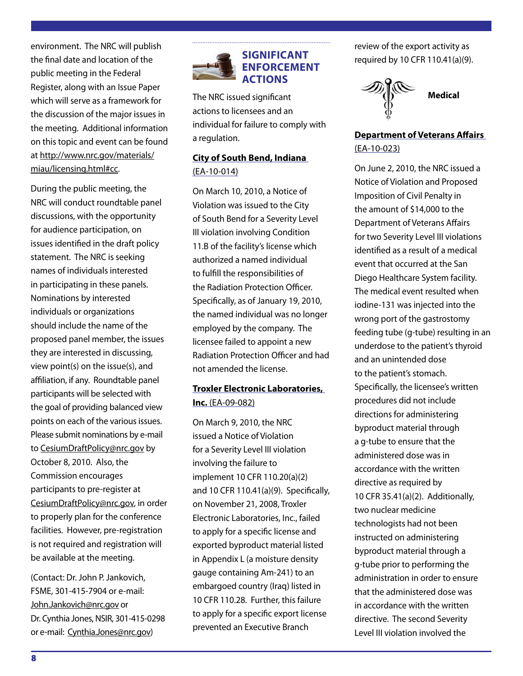environment. The NRC will publish the final date and location of the public meeting in the Federal Register, along with an Issue Paper which will serve as a framework for the discussion of the major issues in the meeting. Additional information on this topic and event can be found at http://www.nrc.gov/materials/ miau/licensing.html#cc.

During the public meeting, the NRC will conduct roundtable panel discussions, with the opportunity for audience participation, on issues identified in the draft policy statement. The NRC is seeking names of individuals interested in participating in these panels. Nominations by interested individuals or organizations should include the name of the proposed panel member, the issues they are interested in discussing, view point(s) on the issue(s), and affiliation, if any. Roundtable panel participants will be selected with the goal of providing balanced view points on each of the various issues. Please submit nominations by e-mail to CesiumDraftPolicy@nrc.gov by October 8, 2010. Also, the Commission encourages participants to pre-register at CesiumDraftPolicy@nrc.gov, in order to properly plan for the conference facilities. However, pre-registration is not required and registration will be available at the meeting.

(Contact: Dr. John P. Jankovich, FSME, 301-415-7904 or e-mail: John.Jankovich@nrc.gov or Dr. Cynthia Jones, NSIR, 301-415-0298 or e-mail: Cynthia.Jones@nrc.gov)



The NRC issued significant actions to licensees and an individual for failure to comply with a regulation.

## **City of South Bend, Indiana** (EA-10-014)

On March 10, 2010, a Notice of Violation was issued to the City of South Bend for a Severity Level III violation involving Condition 11.B of the facility's license which authorized a named individual to fulfill the responsibilities of the Radiation Protection Officer. Specifically, as of January 19, 2010, the named individual was no longer employed by the company. The licensee failed to appoint a new Radiation Protection Officer and had not amended the license.

#### **Troxler Electronic Laboratories, Inc.** (EA-09-082)

On March 9, 2010, the NRC issued a Notice of Violation for a Severity Level III violation involving the failure to implement 10 CFR 110.20(a)(2) and 10 CFR 110.41(a)(9). Specifically, on November 21, 2008, Troxler Electronic Laboratories, Inc., failed to apply for a specific license and exported byproduct material listed in Appendix L (a moisture density gauge containing Am-241) to an embargoed country (Iraq) listed in 10 CFR 110.28. Further, this failure to apply for a specific export license prevented an Executive Branch

review of the export activity as required by 10 CFR 110.41(a)(9).



**Department of Veterans Affairs**  (EA-10-023)

On June 2, 2010, the NRC issued a Notice of Violation and Proposed Imposition of Civil Penalty in the amount of \$14,000 to the Department of Veterans Affairs for two Severity Level III violations identified as a result of a medical event that occurred at the San Diego Healthcare System facility. The medical event resulted when iodine-131 was injected into the wrong port of the gastrostomy feeding tube (g-tube) resulting in an underdose to the patient's thyroid and an unintended dose to the patient's stomach. Specifically, the licensee's written procedures did not include directions for administering byproduct material through a g-tube to ensure that the administered dose was in accordance with the written directive as required by 10 CFR 35.41(a)(2). Additionally, two nuclear medicine technologists had not been instructed on administering byproduct material through a g-tube prior to performing the administration in order to ensure that the administered dose was in accordance with the written directive. The second Severity Level III violation involved the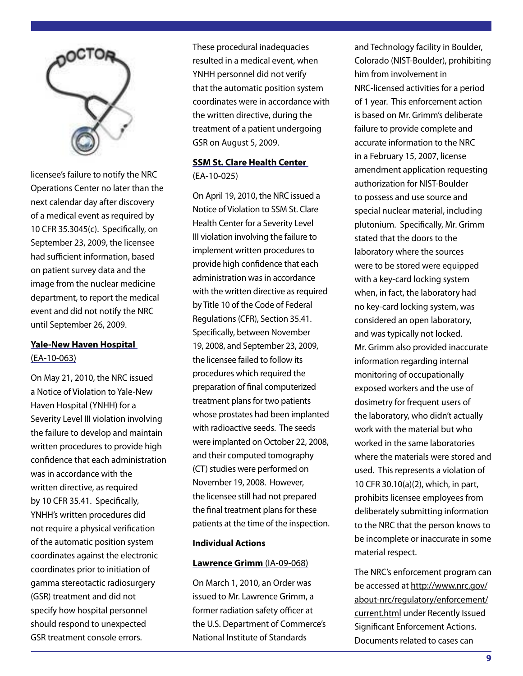

licensee's failure to notify the NRC Operations Center no later than the next calendar day after discovery of a medical event as required by 10 CFR 35.3045(c). Specifically, on September 23, 2009, the licensee had sufficient information, based on patient survey data and the image from the nuclear medicine department, to report the medical event and did not notify the NRC until September 26, 2009.

#### **Yale-New Haven Hospital** (EA-10-063)

On May 21, 2010, the NRC issued a Notice of Violation to Yale-New Haven Hospital (YNHH) for a Severity Level III violation involving the failure to develop and maintain written procedures to provide high confidence that each administration was in accordance with the written directive, as required by 10 CFR 35.41. Specifically, YNHH's written procedures did not require a physical verification of the automatic position system coordinates against the electronic coordinates prior to initiation of gamma stereotactic radiosurgery (GSR) treatment and did not specify how hospital personnel should respond to unexpected GSR treatment console errors.

These procedural inadequacies resulted in a medical event, when YNHH personnel did not verify that the automatic position system coordinates were in accordance with the written directive, during the treatment of a patient undergoing GSR on August 5, 2009.

## **SSM St. Clare Health Center** (EA-10-025)

On April 19, 2010, the NRC issued a Notice of Violation to SSM St. Clare Health Center for a Severity Level III violation involving the failure to implement written procedures to provide high confidence that each administration was in accordance with the written directive as required by Title 10 of the Code of Federal Regulations (CFR), Section 35.41. Specifically, between November 19, 2008, and September 23, 2009, the licensee failed to follow its procedures which required the preparation of final computerized treatment plans for two patients whose prostates had been implanted with radioactive seeds. The seeds were implanted on October 22, 2008, and their computed tomography (CT) studies were performed on November 19, 2008. However, the licensee still had not prepared the final treatment plans for these patients at the time of the inspection.

#### **Individual Actions**

#### **Lawrence Grimm** (IA-09-068)

On March 1, 2010, an Order was issued to Mr. Lawrence Grimm, a former radiation safety officer at the U.S. Department of Commerce's National Institute of Standards

and Technology facility in Boulder, Colorado (NIST-Boulder), prohibiting him from involvement in NRC-licensed activities for a period of 1 year. This enforcement action is based on Mr. Grimm's deliberate failure to provide complete and accurate information to the NRC in a February 15, 2007, license amendment application requesting authorization for NIST-Boulder to possess and use source and special nuclear material, including plutonium. Specifically, Mr. Grimm stated that the doors to the laboratory where the sources were to be stored were equipped with a key-card locking system when, in fact, the laboratory had no key-card locking system, was considered an open laboratory, and was typically not locked. Mr. Grimm also provided inaccurate information regarding internal monitoring of occupationally exposed workers and the use of dosimetry for frequent users of the laboratory, who didn't actually work with the material but who worked in the same laboratories where the materials were stored and used. This represents a violation of 10 CFR 30.10(a)(2), which, in part, prohibits licensee employees from deliberately submitting information to the NRC that the person knows to be incomplete or inaccurate in some material respect.

The NRC's enforcement program can be accessed at http://www.nrc.gov/ about-nrc/regulatory/enforcement/ current.html under Recently Issued Significant Enforcement Actions. Documents related to cases can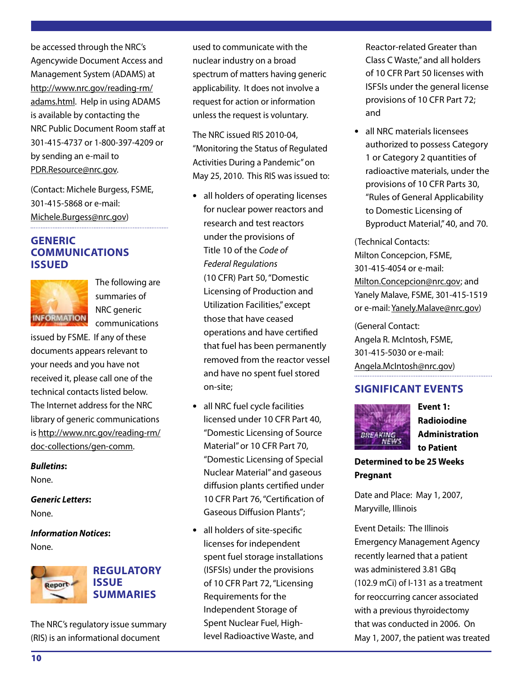be accessed through the NRC's Agencywide Document Access and Management System (ADAMS) at http://www.nrc.gov/reading-rm/ adams.html. Help in using ADAMS is available by contacting the NRC Public Document Room staff at 301-415-4737 or 1-800-397-4209 or by sending an e-mail to PDR.Resource@nrc.gov.

(Contact: Michele Burgess, FSME, 301-415-5868 or e-mail: Michele.Burgess@nrc.gov)

#### **GENERIC COMMUNICATIONS ISSUED**



The following are summaries of NRC generic communications

issued by FSME. If any of these documents appears relevant to your needs and you have not received it, please call one of the technical contacts listed below. The Internet address for the NRC library of generic communications is http://www.nrc.gov/reading-rm/ doc-collections/gen-comm.

*Bulletins***:** 

None.

*Generic Letters***:**  None.

*Information Notices***:**  None.



## **Regulatory Summaries**

The NRC's regulatory issue summary (RIS) is an informational document

used to communicate with the nuclear industry on a broad spectrum of matters having generic applicability. It does not involve a request for action or information unless the request is voluntary.

The NRC issued RIS 2010-04, "Monitoring the Status of Regulated Activities During a Pandemic" on May 25, 2010. This RIS was issued to:

- **•** all holders of operating licenses for nuclear power reactors and research and test reactors under the provisions of Title 10 of the *Code of Federal Regulations*  (10 CFR) Part 50, "Domestic Licensing of Production and Utilization Facilities," except those that have ceased operations and have certified that fuel has been permanently removed from the reactor vessel and have no spent fuel stored on-site;
- **•** all NRC fuel cycle facilities licensed under 10 CFR Part 40, "Domestic Licensing of Source Material" or 10 CFR Part 70, "Domestic Licensing of Special Nuclear Material" and gaseous diffusion plants certified under 10 CFR Part 76, "Certification of Gaseous Diffusion Plants";
- **•** all holders of site-specific licenses for independent spent fuel storage installations (ISFSIs) under the provisions of 10 CFR Part 72, "Licensing Requirements for the Independent Storage of Spent Nuclear Fuel, Highlevel Radioactive Waste, and

Reactor-related Greater than Class C Waste," and all holders of 10 CFR Part 50 licenses with ISFSIs under the general license provisions of 10 CFR Part 72; and

**•** all NRC materials licensees authorized to possess Category 1 or Category 2 quantities of radioactive materials, under the provisions of 10 CFR Parts 30, "Rules of General Applicability to Domestic Licensing of Byproduct Material," 40, and 70.

(Technical Contacts: Milton Concepcion, FSME, 301-415-4054 or e-mail: Milton.Concepcion@nrc.gov; and Yanely Malave, FSME, 301-415-1519 or e-mail: Yanely.Malave@nrc.gov)

(General Contact: Angela R. McIntosh, FSME, 301-415-5030 or e-mail: Angela.McIntosh@nrc.gov)

## **Significant Events**



**Event 1: Radioiodine Administration to Patient** 

**Determined to be 25 Weeks Pregnant**

Date and Place: May 1, 2007, Maryville, Illinois

Event Details: The Illinois Emergency Management Agency recently learned that a patient was administered 3.81 GBq (102.9 mCi) of I-131 as a treatment for reoccurring cancer associated with a previous thyroidectomy that was conducted in 2006. On May 1, 2007, the patient was treated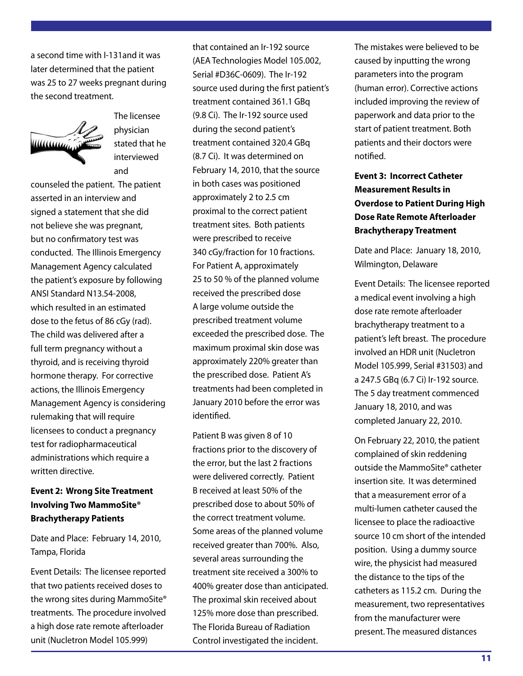a second time with I-131and it was later determined that the patient was 25 to 27 weeks pregnant during the second treatment.



The licensee physician stated that he interviewed and

counseled the patient. The patient asserted in an interview and signed a statement that she did not believe she was pregnant, but no confirmatory test was conducted. The Illinois Emergency Management Agency calculated the patient's exposure by following ANSI Standard N13.54-2008, which resulted in an estimated dose to the fetus of 86 cGy (rad). The child was delivered after a full term pregnancy without a thyroid, and is receiving thyroid hormone therapy. For corrective actions, the Illinois Emergency Management Agency is considering rulemaking that will require licensees to conduct a pregnancy test for radiopharmaceutical administrations which require a written directive.

#### **Event 2: Wrong Site Treatment Involving Two MammoSite® Brachytherapy Patients**

Date and Place: February 14, 2010, Tampa, Florida

Event Details: The licensee reported that two patients received doses to the wrong sites during MammoSite® treatments. The procedure involved a high dose rate remote afterloader unit (Nucletron Model 105.999)

that contained an Ir-192 source (AEA Technologies Model 105.002, Serial #D36C-0609). The Ir-192 source used during the first patient's treatment contained 361.1 GBq (9.8 Ci). The Ir-192 source used during the second patient's treatment contained 320.4 GBq (8.7 Ci). It was determined on February 14, 2010, that the source in both cases was positioned approximately 2 to 2.5 cm proximal to the correct patient treatment sites. Both patients were prescribed to receive 340 cGy/fraction for 10 fractions. For Patient A, approximately 25 to 50 % of the planned volume received the prescribed dose A large volume outside the prescribed treatment volume exceeded the prescribed dose. The maximum proximal skin dose was approximately 220% greater than the prescribed dose. Patient A's treatments had been completed in January 2010 before the error was identified.

Patient B was given 8 of 10 fractions prior to the discovery of the error, but the last 2 fractions were delivered correctly. Patient B received at least 50% of the prescribed dose to about 50% of the correct treatment volume. Some areas of the planned volume received greater than 700%. Also, several areas surrounding the treatment site received a 300% to 400% greater dose than anticipated. The proximal skin received about 125% more dose than prescribed. The Florida Bureau of Radiation Control investigated the incident.

The mistakes were believed to be caused by inputting the wrong parameters into the program (human error). Corrective actions included improving the review of paperwork and data prior to the start of patient treatment. Both patients and their doctors were notified.

## **Event 3: Incorrect Catheter Measurement Results in Overdose to Patient During High Dose Rate Remote Afterloader Brachytherapy Treatment**

Date and Place: January 18, 2010, Wilmington, Delaware

Event Details: The licensee reported a medical event involving a high dose rate remote afterloader brachytherapy treatment to a patient's left breast. The procedure involved an HDR unit (Nucletron Model 105.999, Serial #31503) and a 247.5 GBq (6.7 Ci) Ir-192 source. The 5 day treatment commenced January 18, 2010, and was completed January 22, 2010.

On February 22, 2010, the patient complained of skin reddening outside the MammoSite® catheter insertion site. It was determined that a measurement error of a multi-lumen catheter caused the licensee to place the radioactive source 10 cm short of the intended position. Using a dummy source wire, the physicist had measured the distance to the tips of the catheters as 115.2 cm. During the measurement, two representatives from the manufacturer were present. The measured distances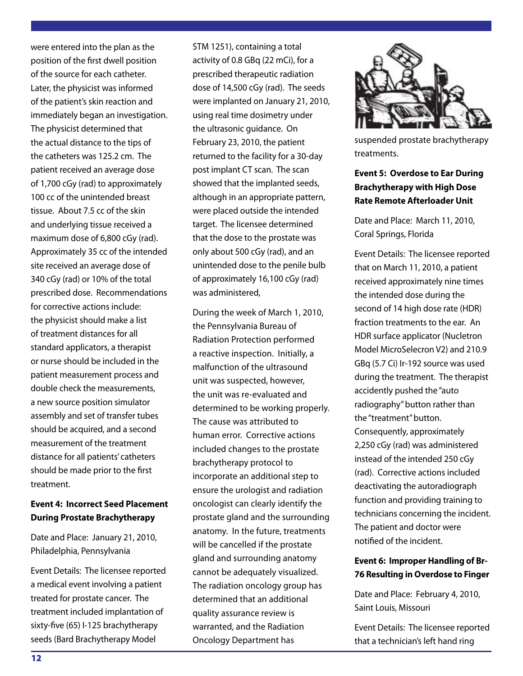were entered into the plan as the position of the first dwell position of the source for each catheter. Later, the physicist was informed of the patient's skin reaction and immediately began an investigation. The physicist determined that the actual distance to the tips of the catheters was 125.2 cm. The patient received an average dose of 1,700 cGy (rad) to approximately 100 cc of the unintended breast tissue. About 7.5 cc of the skin and underlying tissue received a maximum dose of 6,800 cGy (rad). Approximately 35 cc of the intended site received an average dose of 340 cGy (rad) or 10% of the total prescribed dose. Recommendations for corrective actions include: the physicist should make a list of treatment distances for all standard applicators, a therapist or nurse should be included in the patient measurement process and double check the measurements, a new source position simulator assembly and set of transfer tubes should be acquired, and a second measurement of the treatment distance for all patients' catheters should be made prior to the first treatment.

#### **Event 4: Incorrect Seed Placement During Prostate Brachytherapy**

Date and Place: January 21, 2010, Philadelphia, Pennsylvania

Event Details: The licensee reported a medical event involving a patient treated for prostate cancer. The treatment included implantation of sixty-five (65) I-125 brachytherapy seeds (Bard Brachytherapy Model

STM 1251), containing a total activity of 0.8 GBq (22 mCi), for a prescribed therapeutic radiation dose of 14,500 cGy (rad). The seeds were implanted on January 21, 2010, using real time dosimetry under the ultrasonic guidance. On February 23, 2010, the patient returned to the facility for a 30-day post implant CT scan. The scan showed that the implanted seeds, although in an appropriate pattern, were placed outside the intended target. The licensee determined that the dose to the prostate was only about 500 cGy (rad), and an unintended dose to the penile bulb of approximately 16,100 cGy (rad) was administered,

During the week of March 1, 2010, the Pennsylvania Bureau of Radiation Protection performed a reactive inspection. Initially, a malfunction of the ultrasound unit was suspected, however, the unit was re-evaluated and determined to be working properly. The cause was attributed to human error. Corrective actions included changes to the prostate brachytherapy protocol to incorporate an additional step to ensure the urologist and radiation oncologist can clearly identify the prostate gland and the surrounding anatomy. In the future, treatments will be cancelled if the prostate gland and surrounding anatomy cannot be adequately visualized. The radiation oncology group has determined that an additional quality assurance review is warranted, and the Radiation Oncology Department has



suspended prostate brachytherapy treatments.

#### **Event 5: Overdose to Ear During Brachytherapy with High Dose Rate Remote Afterloader Unit**

Date and Place: March 11, 2010, Coral Springs, Florida

Event Details: The licensee reported that on March 11, 2010, a patient received approximately nine times the intended dose during the second of 14 high dose rate (HDR) fraction treatments to the ear. An HDR surface applicator (Nucletron Model MicroSelecron V2) and 210.9 GBq (5.7 Ci) Ir-192 source was used during the treatment. The therapist accidently pushed the "auto radiography" button rather than the "treatment" button. Consequently, approximately 2,250 cGy (rad) was administered instead of the intended 250 cGy (rad). Corrective actions included deactivating the autoradiograph function and providing training to technicians concerning the incident. The patient and doctor were notified of the incident.

#### **Event 6: Improper Handling of Br-76 Resulting in Overdose to Finger**

Date and Place: February 4, 2010, Saint Louis, Missouri

Event Details: The licensee reported that a technician's left hand ring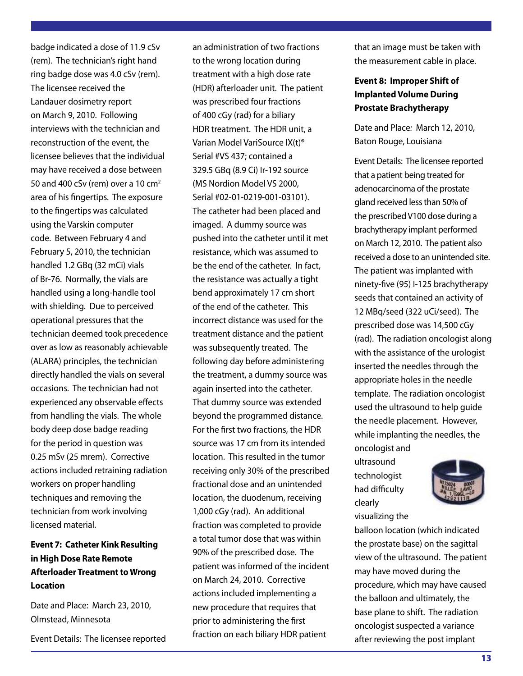badge indicated a dose of 11.9 cSv (rem). The technician's right hand ring badge dose was 4.0 cSv (rem). The licensee received the Landauer dosimetry report on March 9, 2010. Following interviews with the technician and reconstruction of the event, the licensee believes that the individual may have received a dose between 50 and 400 cSv (rem) over a 10  $cm<sup>2</sup>$ area of his fingertips. The exposure to the fingertips was calculated using the Varskin computer code. Between February 4 and February 5, 2010, the technician handled 1.2 GBq (32 mCi) vials of Br-76. Normally, the vials are handled using a long-handle tool with shielding. Due to perceived operational pressures that the technician deemed took precedence over as low as reasonably achievable (ALARA) principles, the technician directly handled the vials on several occasions. The technician had not experienced any observable effects from handling the vials. The whole body deep dose badge reading for the period in question was 0.25 mSv (25 mrem). Corrective actions included retraining radiation workers on proper handling techniques and removing the technician from work involving licensed material.

## **Event 7: Catheter Kink Resulting in High Dose Rate Remote Afterloader Treatment to Wrong Location**

Date and Place: March 23, 2010, Olmstead, Minnesota

Event Details: The licensee reported

an administration of two fractions to the wrong location during treatment with a high dose rate (HDR) afterloader unit. The patient was prescribed four fractions of 400 cGy (rad) for a biliary HDR treatment. The HDR unit, a Varian Model VariSource IX(t)® Serial #VS 437; contained a 329.5 GBq (8.9 Ci) Ir-192 source (MS Nordion Model VS 2000, Serial #02-01-0219-001-03101). The catheter had been placed and imaged. A dummy source was pushed into the catheter until it met resistance, which was assumed to be the end of the catheter. In fact, the resistance was actually a tight bend approximately 17 cm short of the end of the catheter. This incorrect distance was used for the treatment distance and the patient was subsequently treated. The following day before administering the treatment, a dummy source was again inserted into the catheter. That dummy source was extended beyond the programmed distance. For the first two fractions, the HDR source was 17 cm from its intended location. This resulted in the tumor receiving only 30% of the prescribed fractional dose and an unintended location, the duodenum, receiving 1,000 cGy (rad). An additional fraction was completed to provide a total tumor dose that was within 90% of the prescribed dose. The patient was informed of the incident on March 24, 2010. Corrective actions included implementing a new procedure that requires that prior to administering the first fraction on each biliary HDR patient

that an image must be taken with the measurement cable in place.

## **Event 8: Improper Shift of Implanted Volume During Prostate Brachytherapy**

Date and Place*:* March 12, 2010, Baton Rouge, Louisiana

Event Details: The licensee reported that a patient being treated for adenocarcinoma of the prostate gland received less than 50% of the prescribed V100 dose during a brachytherapy implant performed on March 12, 2010. The patient also received a dose to an unintended site. The patient was implanted with ninety-five (95) I-125 brachytherapy seeds that contained an activity of 12 MBq/seed (322 uCi/seed). The prescribed dose was 14,500 cGy (rad). The radiation oncologist along with the assistance of the urologist inserted the needles through the appropriate holes in the needle template. The radiation oncologist used the ultrasound to help guide the needle placement. However, while implanting the needles, the oncologist and

ultrasound technologist had difficulty clearly visualizing the



balloon location (which indicated the prostate base) on the sagittal view of the ultrasound. The patient may have moved during the procedure, which may have caused the balloon and ultimately, the base plane to shift. The radiation oncologist suspected a variance after reviewing the post implant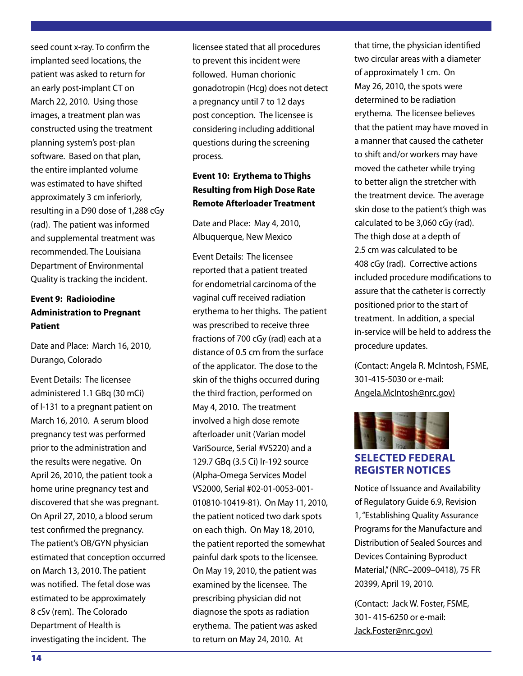seed count x-ray. To confirm the implanted seed locations, the patient was asked to return for an early post-implant CT on March 22, 2010. Using those images, a treatment plan was constructed using the treatment planning system's post-plan software. Based on that plan, the entire implanted volume was estimated to have shifted approximately 3 cm inferiorly, resulting in a D90 dose of 1,288 cGy (rad). The patient was informed and supplemental treatment was recommended. The Louisiana Department of Environmental Quality is tracking the incident.

## **Event 9: Radioiodine Administration to Pregnant Patient**

Date and Place: March 16, 2010, Durango, Colorado

Event Details: The licensee administered 1.1 GBq (30 mCi) of I-131 to a pregnant patient on March 16, 2010. A serum blood pregnancy test was performed prior to the administration and the results were negative. On April 26, 2010, the patient took a home urine pregnancy test and discovered that she was pregnant. On April 27, 2010, a blood serum test confirmed the pregnancy. The patient's OB/GYN physician estimated that conception occurred on March 13, 2010. The patient was notified. The fetal dose was estimated to be approximately 8 cSv (rem). The Colorado Department of Health is investigating the incident. The

licensee stated that all procedures to prevent this incident were followed. Human chorionic gonadotropin (Hcg) does not detect a pregnancy until 7 to 12 days post conception. The licensee is considering including additional questions during the screening process.

## **Event 10: Erythema to Thighs Resulting from High Dose Rate Remote Afterloader Treatment**

Date and Place: May 4, 2010, Albuquerque, New Mexico

Event Details: The licensee reported that a patient treated for endometrial carcinoma of the vaginal cuff received radiation erythema to her thighs. The patient was prescribed to receive three fractions of 700 cGy (rad) each at a distance of 0.5 cm from the surface of the applicator. The dose to the skin of the thighs occurred during the third fraction, performed on May 4, 2010. The treatment involved a high dose remote afterloader unit (Varian model VariSource, Serial #VS220) and a 129.7 GBq (3.5 Ci) Ir-192 source (Alpha-Omega Services Model VS2000, Serial #02-01-0053-001- 010810-10419-81). On May 11, 2010, the patient noticed two dark spots on each thigh. On May 18, 2010, the patient reported the somewhat painful dark spots to the licensee. On May 19, 2010, the patient was examined by the licensee. The prescribing physician did not diagnose the spots as radiation erythema. The patient was asked to return on May 24, 2010. At

that time, the physician identified two circular areas with a diameter of approximately 1 cm. On May 26, 2010, the spots were determined to be radiation erythema. The licensee believes that the patient may have moved in a manner that caused the catheter to shift and/or workers may have moved the catheter while trying to better align the stretcher with the treatment device. The average skin dose to the patient's thigh was calculated to be 3,060 cGy (rad). The thigh dose at a depth of 2.5 cm was calculated to be 408 cGy (rad). Corrective actions included procedure modifications to assure that the catheter is correctly positioned prior to the start of treatment. In addition, a special in-service will be held to address the procedure updates.

(Contact: Angela R. McIntosh, FSME, 301-415-5030 or e-mail: Angela.McIntosh@nrc.gov)



## **SELECTED FEDERAL REGISTER NOTICES**

Notice of Issuance and Availability of Regulatory Guide 6.9, Revision 1, "Establishing Quality Assurance Programs for the Manufacture and Distribution of Sealed Sources and Devices Containing Byproduct Material,'' (NRC–2009–0418), 75 FR 20399, April 19, 2010.

(Contact:Jack W. Foster, FSME, 301- 415-6250 or e-mail: Jack.Foster@nrc.gov)